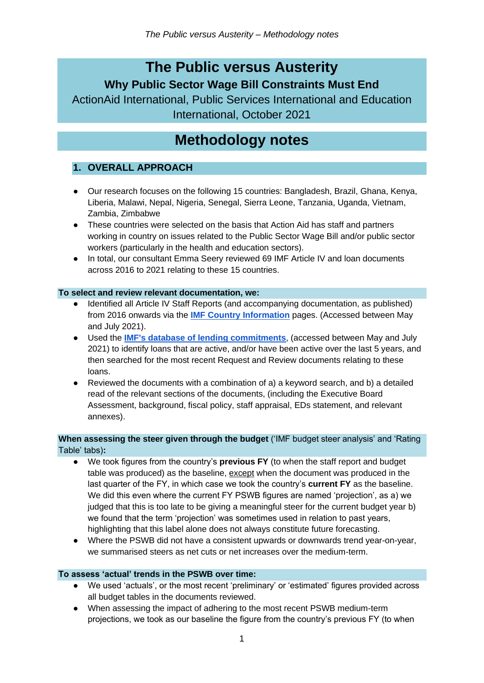## **The Public versus Austerity Why Public Sector Wage Bill Constraints Must End**

ActionAid International, Public Services International and Education International, October 2021

# **Methodology notes**

### **1. OVERALL APPROACH**

- Our research focuses on the following 15 countries: Bangladesh, Brazil, Ghana, Kenya, Liberia, Malawi, Nepal, Nigeria, Senegal, Sierra Leone, Tanzania, Uganda, Vietnam, Zambia, Zimbabwe
- These countries were selected on the basis that Action Aid has staff and partners working in country on issues related to the Public Sector Wage Bill and/or public sector workers (particularly in the health and education sectors).
- In total, our consultant Emma Seery reviewed 69 IMF Article IV and loan documents across 2016 to 2021 relating to these 15 countries.

#### **To select and review relevant documentation, we:**

- Identified all Article IV Staff Reports (and accompanying documentation, as published) from 2016 onwards via the **[IMF Country Information](https://www.imf.org/en/Countries)** pages. (Accessed between May and July 2021).
- Used the **[IMF's database of lending commitments](https://www.imf.org/external/np/fin/tad/extarr1.aspx)**, (accessed between May and July 2021) to identify loans that are active, and/or have been active over the last 5 years, and then searched for the most recent Request and Review documents relating to these loans.
- Reviewed the documents with a combination of a) a keyword search, and b) a detailed read of the relevant sections of the documents, (including the Executive Board Assessment, background, fiscal policy, staff appraisal, EDs statement, and relevant annexes).

#### **When assessing the steer given through the budget** ('IMF budget steer analysis' and 'Rating Table' tabs)**:**

- We took figures from the country's **previous FY** (to when the staff report and budget table was produced) as the baseline, except when the document was produced in the last quarter of the FY, in which case we took the country's **current FY** as the baseline. We did this even where the current FY PSWB figures are named 'projection', as a) we judged that this is too late to be giving a meaningful steer for the current budget year b) we found that the term 'projection' was sometimes used in relation to past years, highlighting that this label alone does not always constitute future forecasting.
- Where the PSWB did not have a consistent upwards or downwards trend year-on-year, we summarised steers as net cuts or net increases over the medium-term.

#### **To assess 'actual' trends in the PSWB over time:**

- We used 'actuals', or the most recent 'preliminary' or 'estimated' figures provided across all budget tables in the documents reviewed.
- When assessing the impact of adhering to the most recent PSWB medium-term projections, we took as our baseline the figure from the country's previous FY (to when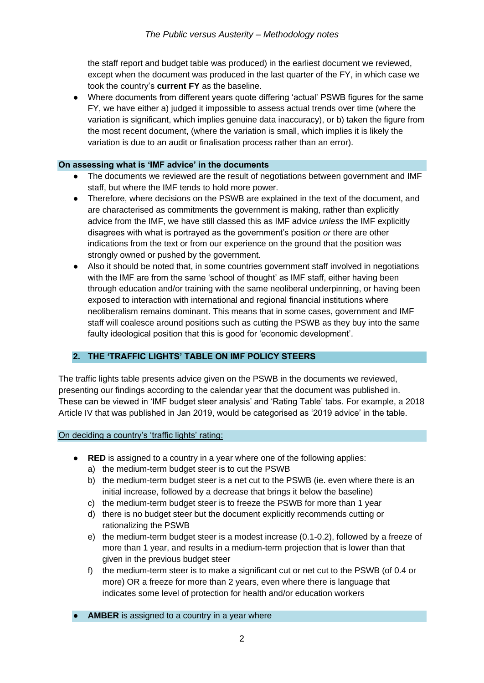the staff report and budget table was produced) in the earliest document we reviewed, except when the document was produced in the last quarter of the FY, in which case we took the country's **current FY** as the baseline.

Where documents from different years quote differing 'actual' PSWB figures for the same FY, we have either a) judged it impossible to assess actual trends over time (where the variation is significant, which implies genuine data inaccuracy), or b) taken the figure from the most recent document, (where the variation is small, which implies it is likely the variation is due to an audit or finalisation process rather than an error).

#### **On assessing what is 'IMF advice' in the documents**

- The documents we reviewed are the result of negotiations between government and IMF staff, but where the IMF tends to hold more power.
- Therefore, where decisions on the PSWB are explained in the text of the document, and are characterised as commitments the government is making, rather than explicitly advice from the IMF, we have still classed this as IMF advice *unless* the IMF explicitly disagrees with what is portrayed as the government's position *or* there are other indications from the text or from our experience on the ground that the position was strongly owned or pushed by the government.
- Also it should be noted that, in some countries government staff involved in negotiations with the IMF are from the same 'school of thought' as IMF staff, either having been through education and/or training with the same neoliberal underpinning, or having been exposed to interaction with international and regional financial institutions where neoliberalism remains dominant. This means that in some cases, government and IMF staff will coalesce around positions such as cutting the PSWB as they buy into the same faulty ideological position that this is good for 'economic development'.

#### **2. THE 'TRAFFIC LIGHTS' TABLE ON IMF POLICY STEERS**

The traffic lights table presents advice given on the PSWB in the documents we reviewed, presenting our findings according to the calendar year that the document was published in. These can be viewed in 'IMF budget steer analysis' and 'Rating Table' tabs. For example, a 2018 Article IV that was published in Jan 2019, would be categorised as '2019 advice' in the table.

On deciding a country's 'traffic lights' rating:

- **RED** is assigned to a country in a year where one of the following applies:
	- a) the medium-term budget steer is to cut the PSWB
	- b) the medium-term budget steer is a net cut to the PSWB (ie. even where there is an initial increase, followed by a decrease that brings it below the baseline)
	- c) the medium-term budget steer is to freeze the PSWB for more than 1 year
	- d) there is no budget steer but the document explicitly recommends cutting or rationalizing the PSWB
	- e) the medium-term budget steer is a modest increase (0.1-0.2), followed by a freeze of more than 1 year, and results in a medium-term projection that is lower than that given in the previous budget steer
	- f) the medium-term steer is to make a significant cut or net cut to the PSWB (of 0.4 or more) OR a freeze for more than 2 years, even where there is language that indicates some level of protection for health and/or education workers

• **AMBER** is assigned to a country in a year where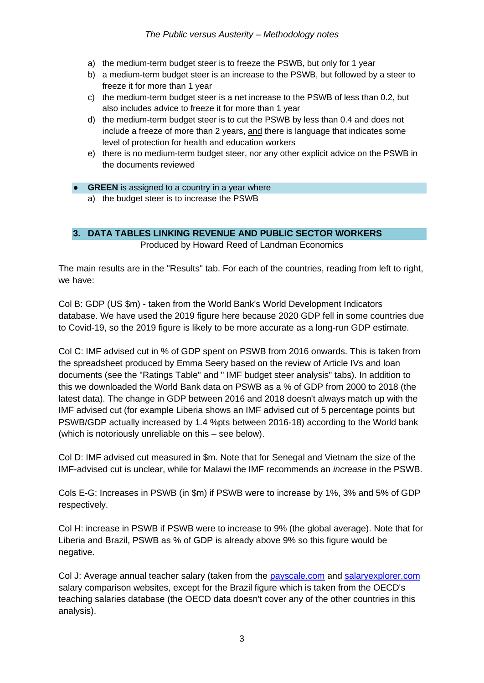- a) the medium-term budget steer is to freeze the PSWB, but only for 1 year
- b) a medium-term budget steer is an increase to the PSWB, but followed by a steer to freeze it for more than 1 year
- c) the medium-term budget steer is a net increase to the PSWB of less than 0.2, but also includes advice to freeze it for more than 1 year
- d) the medium-term budget steer is to cut the PSWB by less than 0.4 and does not include a freeze of more than 2 years, and there is language that indicates some level of protection for health and education workers
- e) there is no medium-term budget steer, nor any other explicit advice on the PSWB in the documents reviewed

#### **• GREEN** is assigned to a country in a year where

a) the budget steer is to increase the PSWB

#### **3. DATA TABLES LINKING REVENUE AND PUBLIC SECTOR WORKERS**

Produced by Howard Reed of Landman Economics

The main results are in the "Results" tab. For each of the countries, reading from left to right, we have:

Col B: GDP (US \$m) - taken from the World Bank's World Development Indicators database. We have used the 2019 figure here because 2020 GDP fell in some countries due to Covid-19, so the 2019 figure is likely to be more accurate as a long-run GDP estimate.

Col C: IMF advised cut in % of GDP spent on PSWB from 2016 onwards. This is taken from the spreadsheet produced by Emma Seery based on the review of Article IVs and loan documents (see the "Ratings Table" and " IMF budget steer analysis" tabs). In addition to this we downloaded the World Bank data on PSWB as a % of GDP from 2000 to 2018 (the latest data). The change in GDP between 2016 and 2018 doesn't always match up with the IMF advised cut (for example Liberia shows an IMF advised cut of 5 percentage points but PSWB/GDP actually increased by 1.4 %pts between 2016-18) according to the World bank (which is notoriously unreliable on this – see below).

Col D: IMF advised cut measured in \$m. Note that for Senegal and Vietnam the size of the IMF-advised cut is unclear, while for Malawi the IMF recommends an *increase* in the PSWB.

Cols E-G: Increases in PSWB (in \$m) if PSWB were to increase by 1%, 3% and 5% of GDP respectively.

Col H: increase in PSWB if PSWB were to increase to 9% (the global average). Note that for Liberia and Brazil, PSWB as % of GDP is already above 9% so this figure would be negative.

Col J: Average annual teacher salary (taken from the [payscale.com](https://protect-eu.mimecast.com/s/IH0_C76ErIQN1gphBeIc0?domain=payscale.com) and [salaryexplorer.com](https://protect-eu.mimecast.com/s/1a85C8qGvCzqpGviMvwes?domain=salaryexplorer.com) salary comparison websites, except for the Brazil figure which is taken from the OECD's teaching salaries database (the OECD data doesn't cover any of the other countries in this analysis).